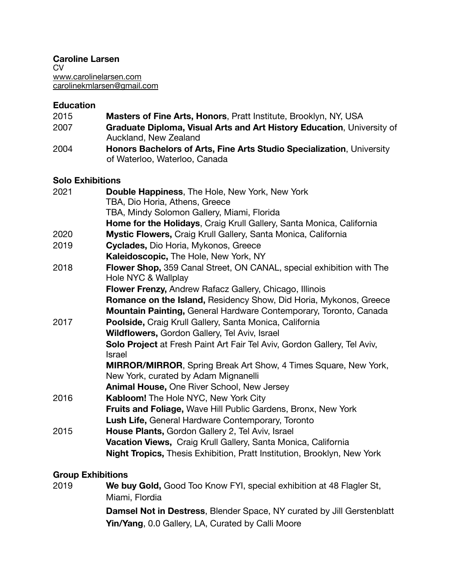**Caroline Larsen**  CV [www.carolinelarsen.com](http://www.carolinelarsen.com) [carolinekmlarsen@gmail.com](mailto:carolinekmlarsen@gmail.com) 

# **Education**

| 2015                    | Masters of Fine Arts, Honors, Pratt Institute, Brooklyn, NY, USA                                       |  |
|-------------------------|--------------------------------------------------------------------------------------------------------|--|
| 2007                    | Graduate Diploma, Visual Arts and Art History Education, University of<br>Auckland, New Zealand        |  |
| 2004                    | Honors Bachelors of Arts, Fine Arts Studio Specialization, University<br>of Waterloo, Waterloo, Canada |  |
| <b>Solo Exhibitions</b> |                                                                                                        |  |
| 2021                    | Double Happiness, The Hole, New York, New York                                                         |  |
|                         | TBA, Dio Horia, Athens, Greece                                                                         |  |
|                         | TBA, Mindy Solomon Gallery, Miami, Florida                                                             |  |
|                         | Home for the Holidays, Craig Krull Gallery, Santa Monica, California                                   |  |
| 2020                    | Mystic Flowers, Craig Krull Gallery, Santa Monica, California                                          |  |
| 2019                    | Cyclades, Dio Horia, Mykonos, Greece                                                                   |  |
|                         | Kaleidoscopic, The Hole, New York, NY                                                                  |  |
| 2018                    | Flower Shop, 359 Canal Street, ON CANAL, special exhibition with The                                   |  |
|                         | Hole NYC & Wallplay                                                                                    |  |
|                         | Flower Frenzy, Andrew Rafacz Gallery, Chicago, Illinois                                                |  |
|                         | Romance on the Island, Residency Show, Did Horia, Mykonos, Greece                                      |  |
|                         | Mountain Painting, General Hardware Contemporary, Toronto, Canada                                      |  |
| 2017                    | Poolside, Craig Krull Gallery, Santa Monica, California                                                |  |
|                         | Wildflowers, Gordon Gallery, Tel Aviv, Israel                                                          |  |
|                         | Solo Project at Fresh Paint Art Fair Tel Aviv, Gordon Gallery, Tel Aviv,<br><b>Israel</b>              |  |
|                         | <b>MIRROR/MIRROR, Spring Break Art Show, 4 Times Square, New York,</b>                                 |  |
|                         | New York, curated by Adam Mignanelli                                                                   |  |
|                         | Animal House, One River School, New Jersey                                                             |  |
| 2016                    | Kabloom! The Hole NYC, New York City                                                                   |  |
|                         | <b>Fruits and Foliage, Wave Hill Public Gardens, Bronx, New York</b>                                   |  |
|                         | Lush Life, General Hardware Contemporary, Toronto                                                      |  |
| 2015                    | House Plants, Gordon Gallery 2, Tel Aviv, Israel                                                       |  |
|                         | Vacation Views, Craig Krull Gallery, Santa Monica, California                                          |  |
|                         | Night Tropics, Thesis Exhibition, Pratt Institution, Brooklyn, New York                                |  |

### **Group Exhibitions**

| 2019 | We buy Gold, Good Too Know FYI, special exhibition at 48 Flagler St,          |
|------|-------------------------------------------------------------------------------|
|      | Miami, Flordia                                                                |
|      | <b>Damsel Not in Destress, Blender Space, NY curated by Jill Gerstenblatt</b> |
|      | Yin/Yang, 0.0 Gallery, LA, Curated by Calli Moore                             |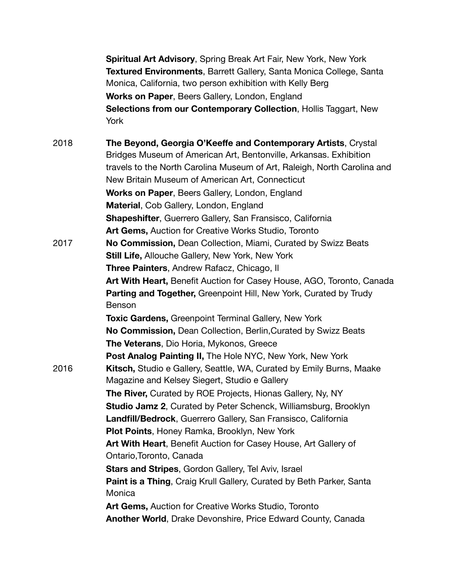**Spiritual Art Advisory**, Spring Break Art Fair, New York, New York **Textured Environments**, Barrett Gallery, Santa Monica College, Santa Monica, California, two person exhibition with Kelly Berg **Works on Paper**, Beers Gallery, London, England **Selections from our Contemporary Collection**, Hollis Taggart, New York

2018 **The Beyond, Georgia O'Keeffe and Contemporary Artists**, Crystal Bridges Museum of American Art, Bentonville, Arkansas. Exhibition travels to the North Carolina Museum of Art, Raleigh, North Carolina and New Britain Museum of American Art, Connecticut **Works on Paper**, Beers Gallery, London, England **Material**, Cob Gallery, London, England **Shapeshifter**, Guerrero Gallery, San Fransisco, California **Art Gems,** Auction for Creative Works Studio, Toronto 2017 **No Commission,** Dean Collection, Miami, Curated by Swizz Beats **Still Life,** Allouche Gallery, New York, New York **Three Painters**, Andrew Rafacz, Chicago, Il **Art With Heart,** Benefit Auction for Casey House, AGO, Toronto, Canada **Parting and Together, Greenpoint Hill, New York, Curated by Trudy Benson British Community British Community British Community British Community British Community British Community British Community British Community British Community British Community British Comm Toxic Gardens,** Greenpoint Terminal Gallery, New York **No Commission,** Dean Collection, Berlin,Curated by Swizz Beats **The Veterans**, Dio Horia, Mykonos, Greece **Post Analog Painting II,** The Hole NYC, New York, New York 2016 **Kitsch,** Studio e Gallery, Seattle, WA, Curated by Emily Burns, Maake Magazine and Kelsey Siegert, Studio e Gallery **The River,** Curated by ROE Projects, Hionas Gallery, Ny, NY **Studio Jamz 2**, Curated by Peter Schenck, Williamsburg, Brooklyn **Landfill/Bedrock**, Guerrero Gallery, San Fransisco, California **Plot Points**, Honey Ramka, Brooklyn, New York **Art With Heart**, Benefit Auction for Casey House, Art Gallery of Ontario,Toronto, Canada **Stars and Stripes**, Gordon Gallery, Tel Aviv, Israel **Paint is a Thing**, Craig Krull Gallery, Curated by Beth Parker, Santa **Monica Monica Monica Monica Monica Monica Monica Monica Monica Monica Art Gems,** Auction for Creative Works Studio, Toronto **Another World**, Drake Devonshire, Price Edward County, Canada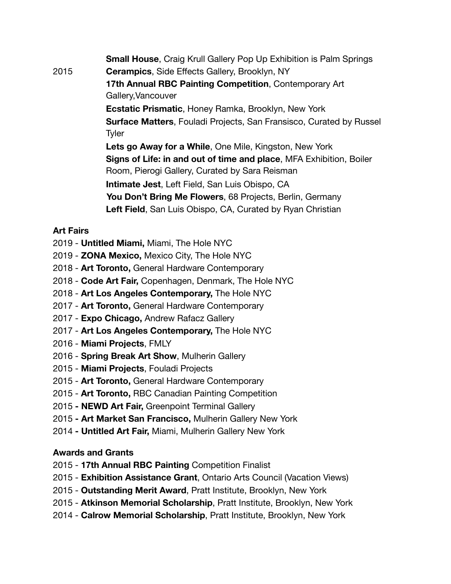**Small House**, Craig Krull Gallery Pop Up Exhibition is Palm Springs 2015 **Cerampics**, Side Effects Gallery, Brooklyn, NY **17th Annual RBC Painting Competition**, Contemporary Art Gallery,Vancouver **Ecstatic Prismatic**, Honey Ramka, Brooklyn, New York **Surface Matters**, Fouladi Projects, San Fransisco, Curated by Russel **Tyler The Executive Security Security Security Security Security Security Security Security Security Security Security Security Security Security Security Security Security Security Security Security Security Security S Lets go Away for a While**, One Mile, Kingston, New York **Signs of Life: in and out of time and place**, MFA Exhibition, Boiler Room, Pierogi Gallery, Curated by Sara Reisman **Intimate Jest**, Left Field, San Luis Obispo, CA **You Don't Bring Me Flowers**, 68 Projects, Berlin, Germany **Left Field**, San Luis Obispo, CA, Curated by Ryan Christian

### **Art Fairs**

- 2019 **Untitled Miami,** Miami, The Hole NYC
- 2019 **ZONA Mexico,** Mexico City, The Hole NYC
- 2018 **Art Toronto,** General Hardware Contemporary
- 2018 **Code Art Fair,** Copenhagen, Denmark, The Hole NYC
- 2018 **Art Los Angeles Contemporary,** The Hole NYC
- 2017 - **Art Toronto,** General Hardware Contemporary
- 2017 - **Expo Chicago,** Andrew Rafacz Gallery
- 2017 **Art Los Angeles Contemporary,** The Hole NYC
- 2016 **Miami Projects**, FMLY
- 2016 **Spring Break Art Show**, Mulherin Gallery
- 2015 **Miami Projects**, Fouladi Projects
- 2015 **Art Toronto,** General Hardware Contemporary
- 2015 **Art Toronto,** RBC Canadian Painting Competition
- 2015 **NEWD Art Fair,** Greenpoint Terminal Gallery
- 2015  **Art Market San Francisco,** Mulherin Gallery New York
- 2014 **Untitled Art Fair,** Miami, Mulherin Gallery New York

# **Awards and Grants**

- 2015 **17th Annual RBC Painting** Competition Finalist
- 2015 **Exhibition Assistance Grant**, Ontario Arts Council (Vacation Views)
- 2015 **Outstanding Merit Award**, Pratt Institute, Brooklyn, New York
- 2015 **Atkinson Memorial Scholarship**, Pratt Institute, Brooklyn, New York
- 2014 **Calrow Memorial Scholarship**, Pratt Institute, Brooklyn, New York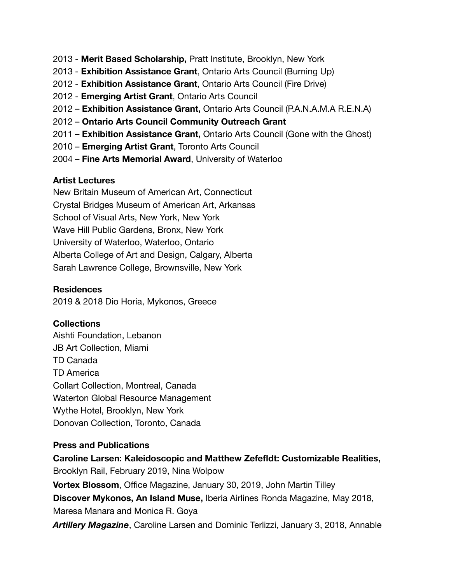- 2013 **Merit Based Scholarship,** Pratt Institute, Brooklyn, New York
- 2013 **Exhibition Assistance Grant**, Ontario Arts Council (Burning Up)
- 2012 **Exhibition Assistance Grant**, Ontario Arts Council (Fire Drive)
- 2012 **Emerging Artist Grant**, Ontario Arts Council
- 2012 **Exhibition Assistance Grant,** Ontario Arts Council (P.A.N.A.M.A R.E.N.A)
- 2012 **Ontario Arts Council Community Outreach Grant**
- 2011 **Exhibition Assistance Grant,** Ontario Arts Council (Gone with the Ghost)
- 2010 **Emerging Artist Grant**, Toronto Arts Council
- 2004 **Fine Arts Memorial Award**, University of Waterloo

### **Artist Lectures**

New Britain Museum of American Art, Connecticut Crystal Bridges Museum of American Art, Arkansas School of Visual Arts, New York, New York Wave Hill Public Gardens, Bronx, New York University of Waterloo, Waterloo, Ontario Alberta College of Art and Design, Calgary, Alberta Sarah Lawrence College, Brownsville, New York

### **Residences**

2019 & 2018 Dio Horia, Mykonos, Greece

# **Collections**

Aishti Foundation, Lebanon JB Art Collection, Miami TD Canada TD America Collart Collection, Montreal, Canada Waterton Global Resource Management Wythe Hotel, Brooklyn, New York Donovan Collection, Toronto, Canada

# **Press and Publications**

**Caroline Larsen: Kaleidoscopic and Matthew Zefefldt: Customizable Realities,**  Brooklyn Rail, February 2019, Nina Wolpow **Vortex Blossom**, Office Magazine, January 30, 2019, John Martin Tilley **Discover Mykonos, An Island Muse,** Iberia Airlines Ronda Magazine, May 2018, Maresa Manara and Monica R. Goya

*Artillery Magazine*, Caroline Larsen and Dominic Terlizzi, January 3, 2018, Annable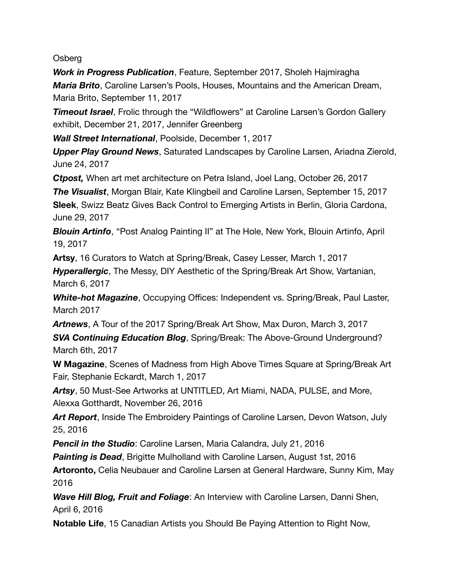Osberg

*Work in Progress Publication*, Feature, September 2017, Sholeh Hajmiragha *Maria Brito*, Caroline Larsen's Pools, Houses, Mountains and the American Dream, Maria Brito, September 11, 2017

*Timeout Israel*, Frolic through the "Wildflowers" at Caroline Larsen's Gordon Gallery exhibit, December 21, 2017, Jennifer Greenberg

*Wall Street International*, Poolside, December 1, 2017

*Upper Play Ground News*, Saturated Landscapes by Caroline Larsen, Ariadna Zierold, June 24, 2017

*Ctpost,* When art met architecture on Petra Island, Joel Lang, October 26, 2017

*The Visualist*, Morgan Blair, Kate Klingbeil and Caroline Larsen, September 15, 2017 **Sleek**, Swizz Beatz Gives Back Control to Emerging Artists in Berlin, Gloria Cardona, June 29, 2017

*Blouin Artinfo*, "Post Analog Painting II" at The Hole, New York, Blouin Artinfo, April 19, 2017

**Artsy**, 16 Curators to Watch at Spring/Break, Casey Lesser, March 1, 2017

*Hyperallergic*, The Messy, DIY Aesthetic of the Spring/Break Art Show, Vartanian, March 6, 2017 

*White-hot Magazine*, Occupying Offices: Independent vs. Spring/Break, Paul Laster, March 2017

*Artnews*, A Tour of the 2017 Spring/Break Art Show, Max Duron, March 3, 2017 *SVA Continuing Education Blog*, Spring/Break: The Above-Ground Underground? March 6th, 2017 

**W Magazine**, Scenes of Madness from High Above Times Square at Spring/Break Art Fair, Stephanie Eckardt, March 1, 2017

*Artsy*, 50 Must-See Artworks at UNTITLED, Art Miami, NADA, PULSE, and More, Alexxa Gotthardt, November 26, 2016 

*Art Report*, Inside The Embroidery Paintings of Caroline Larsen, Devon Watson, July 25, 2016

*Pencil in the Studio*: Caroline Larsen, Maria Calandra, July 21, 2016

*Painting is Dead*, Brigitte Mulholland with Caroline Larsen, August 1st, 2016

**Artoronto,** Celia Neubauer and Caroline Larsen at General Hardware, Sunny Kim, May 2016 

*Wave Hill Blog, Fruit and Foliage*: An Interview with Caroline Larsen, Danni Shen, April 6, 2016

**Notable Life**, 15 Canadian Artists you Should Be Paying Attention to Right Now,